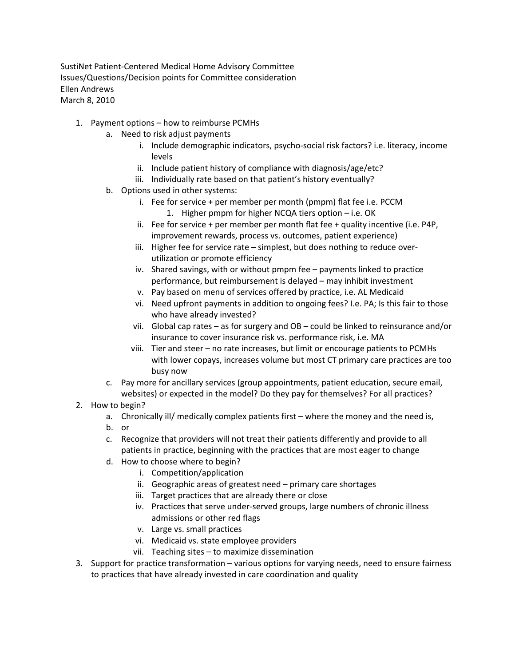SustiNet Patient‐Centered Medical Home Advisory Committee Issues/Questions/Decision points for Committee consideration Ellen Andrews March 8, 2010

- 1. Payment options how to reimburse PCMHs
	- a. Need to risk adjust payments
		- i. Include demographic indicators, psycho-social risk factors? i.e. literacy, income levels
		- ii. Include patient history of compliance with diagnosis/age/etc?
		- iii. Individually rate based on that patient's history eventually?
	- b. Options used in other systems:
		- i. Fee for service + per member per month (pmpm) flat fee i.e. PCCM
			- 1. Higher pmpm for higher NCQA tiers option i.e. OK
		- ii. Fee for service + per member per month flat fee + quality incentive (i.e. P4P, improvement rewards, process vs. outcomes, patient experience)
		- iii. Higher fee for service rate simplest, but does nothing to reduce overutilization or promote efficiency
		- iv. Shared savings, with or without pmpm fee payments linked to practice performance, but reimbursement is delayed – may inhibit investment
		- v. Pay based on menu of services offered by practice, i.e. AL Medicaid
		- vi. Need upfront payments in addition to ongoing fees? I.e. PA; Is this fair to those who have already invested?
		- vii. Global cap rates as for surgery and OB could be linked to reinsurance and/or insurance to cover insurance risk vs. performance risk, i.e. MA
		- viii. Tier and steer no rate increases, but limit or encourage patients to PCMHs with lower copays, increases volume but most CT primary care practices are too busy now
	- c. Pay more for ancillary services (group appointments, patient education, secure email, websites) or expected in the model? Do they pay for themselves? For all practices?
- 2. How to begin?
	- a. Chronically ill/ medically complex patients first where the money and the need is,
	- b. or
	- c. Recognize that providers will not treat their patients differently and provide to all patients in practice, beginning with the practices that are most eager to change
	- d. How to choose where to begin?
		- i. Competition/application
		- ii. Geographic areas of greatest need primary care shortages
		- iii. Target practices that are already there or close
		- iv. Practices that serve under‐served groups, large numbers of chronic illness admissions or other red flags
		- v. Large vs. small practices
		- vi. Medicaid vs. state employee providers
		- vii. Teaching sites to maximize dissemination
- 3. Support for practice transformation various options for varying needs, need to ensure fairness to practices that have already invested in care coordination and quality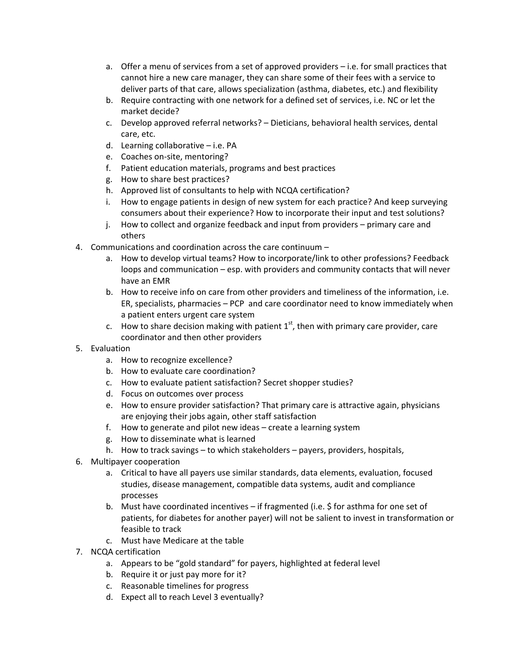- a. Offer a menu of services from a set of approved providers i.e. for small practices that cannot hire a new care manager, they can share some of their fees with a service to deliver parts of that care, allows specialization (asthma, diabetes, etc.) and flexibility
- b. Require contracting with one network for a defined set of services, i.e. NC or let the market decide?
- c. Develop approved referral networks? Dieticians, behavioral health services, dental care, etc.
- d. Learning collaborative i.e. PA
- e. Coaches on‐site, mentoring?
- f. Patient education materials, programs and best practices
- g. How to share best practices?
- h. Approved list of consultants to help with NCQA certification?
- i. How to engage patients in design of new system for each practice? And keep surveying consumers about their experience? How to incorporate their input and test solutions?
- j. How to collect and organize feedback and input from providers primary care and others
- 4. Communications and coordination across the care continuum
	- a. How to develop virtual teams? How to incorporate/link to other professions? Feedback loops and communication – esp. with providers and community contacts that will never have an EMR
	- b. How to receive info on care from other providers and timeliness of the information, i.e. ER, specialists, pharmacies – PCP and care coordinator need to know immediately when a patient enters urgent care system
	- c. How to share decision making with patient  $1<sup>st</sup>$ , then with primary care provider, care coordinator and then other providers
- 5. Evaluation
	- a. How to recognize excellence?
	- b. How to evaluate care coordination?
	- c. How to evaluate patient satisfaction? Secret shopper studies?
	- d. Focus on outcomes over process
	- e. How to ensure provider satisfaction? That primary care is attractive again, physicians are enjoying their jobs again, other staff satisfaction
	- f. How to generate and pilot new ideas create a learning system
	- g. How to disseminate what is learned
	- h. How to track savings to which stakeholders payers, providers, hospitals,
- 6. Multipayer cooperation
	- a. Critical to have all payers use similar standards, data elements, evaluation, focused studies, disease management, compatible data systems, audit and compliance processes
	- b. Must have coordinated incentives if fragmented (i.e. \$ for asthma for one set of patients, for diabetes for another payer) will not be salient to invest in transformation or feasible to track
	- c. Must have Medicare at the table
- 7. NCQA certification
	- a. Appears to be "gold standard" for payers, highlighted at federal level
	- b. Require it or just pay more for it?
	- c. Reasonable timelines for progress
	- d. Expect all to reach Level 3 eventually?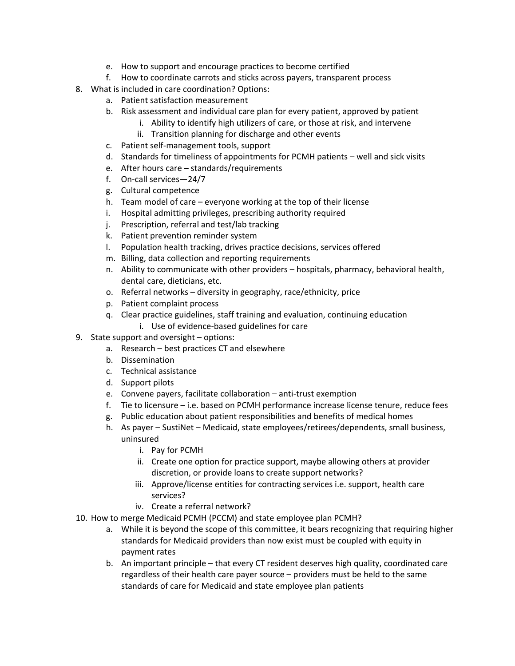- e. How to support and encourage practices to become certified
- f. How to coordinate carrots and sticks across payers, transparent process
- 8. What is included in care coordination? Options:
	- a. Patient satisfaction measurement
	- b. Risk assessment and individual care plan for every patient, approved by patient
		- i. Ability to identify high utilizers of care, or those at risk, and intervene
			- ii. Transition planning for discharge and other events
	- c. Patient self‐management tools, support
	- d. Standards for timeliness of appointments for PCMH patients well and sick visits
	- e. After hours care standards/requirements
	- f. On‐call services—24/7
	- g. Cultural competence
	- h. Team model of care everyone working at the top of their license
	- i. Hospital admitting privileges, prescribing authority required
	- j. Prescription, referral and test/lab tracking
	- k. Patient prevention reminder system
	- l. Population health tracking, drives practice decisions, services offered
	- m. Billing, data collection and reporting requirements
	- n. Ability to communicate with other providers hospitals, pharmacy, behavioral health, dental care, dieticians, etc.
	- o. Referral networks diversity in geography, race/ethnicity, price
	- p. Patient complaint process
	- q. Clear practice guidelines, staff training and evaluation, continuing education
		- i. Use of evidence‐based guidelines for care
- 9. State support and oversight options:
	- a. Research best practices CT and elsewhere
	- b. Dissemination
	- c. Technical assistance
	- d. Support pilots
	- e. Convene payers, facilitate collaboration anti‐trust exemption
	- f. Tie to licensure i.e. based on PCMH performance increase license tenure, reduce fees
	- g. Public education about patient responsibilities and benefits of medical homes
	- h. As payer SustiNet Medicaid, state employees/retirees/dependents, small business, uninsured
		- i. Pay for PCMH
		- ii. Create one option for practice support, maybe allowing others at provider discretion, or provide loans to create support networks?
		- iii. Approve/license entities for contracting services i.e. support, health care services?
		- iv. Create a referral network?
- 10. How to merge Medicaid PCMH (PCCM) and state employee plan PCMH?
	- a. While it is beyond the scope of this committee, it bears recognizing that requiring higher standards for Medicaid providers than now exist must be coupled with equity in payment rates
	- b. An important principle that every CT resident deserves high quality, coordinated care regardless of their health care payer source – providers must be held to the same standards of care for Medicaid and state employee plan patients